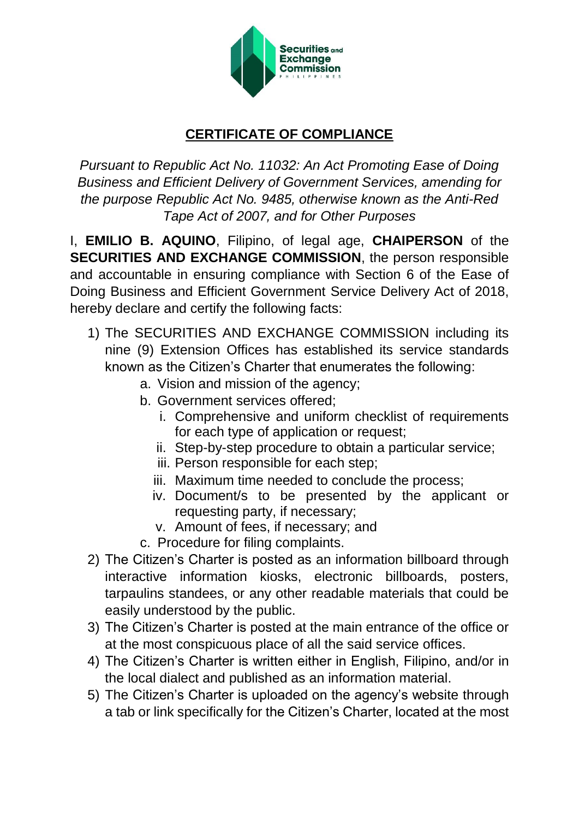

## **CERTIFICATE OF COMPLIANCE**

*Pursuant to Republic Act No. 11032: An Act Promoting Ease of Doing Business and Efficient Delivery of Government Services, amending for the purpose Republic Act No. 9485, otherwise known as the Anti-Red Tape Act of 2007, and for Other Purposes*

I, **EMILIO B. AQUINO**, Filipino, of legal age, **CHAIPERSON** of the **SECURITIES AND EXCHANGE COMMISSION**, the person responsible and accountable in ensuring compliance with Section 6 of the Ease of Doing Business and Efficient Government Service Delivery Act of 2018, hereby declare and certify the following facts:

- 1) The SECURITIES AND EXCHANGE COMMISSION including its nine (9) Extension Offices has established its service standards known as the Citizen's Charter that enumerates the following:
	- a. Vision and mission of the agency;
	- b. Government services offered;
		- i. Comprehensive and uniform checklist of requirements for each type of application or request;
		- ii. Step-by-step procedure to obtain a particular service;
		- iii. Person responsible for each step;
		- iii. Maximum time needed to conclude the process;
		- iv. Document/s to be presented by the applicant or requesting party, if necessary;
		- v. Amount of fees, if necessary; and
	- c. Procedure for filing complaints.
- 2) The Citizen's Charter is posted as an information billboard through interactive information kiosks, electronic billboards, posters, tarpaulins standees, or any other readable materials that could be easily understood by the public.
- 3) The Citizen's Charter is posted at the main entrance of the office or at the most conspicuous place of all the said service offices.
- 4) The Citizen's Charter is written either in English, Filipino, and/or in the local dialect and published as an information material.
- 5) The Citizen's Charter is uploaded on the agency's website through a tab or link specifically for the Citizen's Charter, located at the most